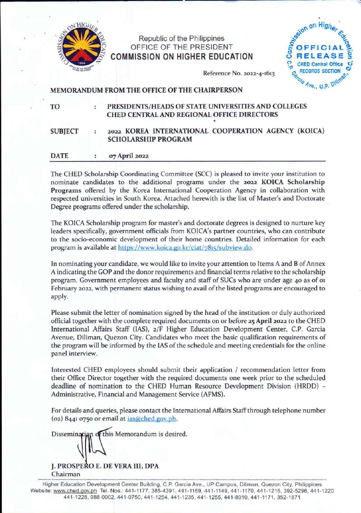

# Republic of the Philippines OFFICE OF THE PRESIDENT **COMMISSION ON HIGHER EDUCATION**



Reference No. 2022-4-1613

## MEMORANDUM FROM THE OFFICE OF THE CHAIRPERSON

TO

#### . **PRESIDENTS/HEADS OF STATE UNIVERSITIES AND COLLEGES CHED CENTRAL AND REGIONAL OFFICE DIRECTORS**

### **SUBJECT 2022 KOREA INTERNATIONAL COOPERATION AGENCY (KOICA) SCHOLARSHIP PROGRAM**

#### **DATE CYJ April 2022**   $\bullet$

The CHED Scholarship Coordinating Committee (SCC) is pleased to invite your institution to nominate candidates to the additional programs under the **2022 KOICA Scholarship Programs** offered by the Korea International Cooperation Agency in collaboration with respected universities in South Korea. Attached herewith is the list of Master's and Doctorate Degree programs offered under the scholarship.

The KOICA Scholarship program for master's and doctorate degrees is designed to nurture key leaders specifically, government officials from KOICA's partner countries, who can contribute to the socio-economic development of their home countries. Detailed information for each program is available at https://www.koica.go.kr/ciat/7815/subview.do.

In nominating your candidate, we would like to invite your attention to Items A and B of Annex A indicating the GOP and the donor requirements and financial terms relative to the scholarship program. Government employees and faculty and staff of SUCs who are under age 40 as of 01 February 2022, with permanent status wishing to avail of the listed programs are encouraged to apply.

Please submit the letter of nomination signed by the head of the institution or duly authorized official together with the complete required documents on or before 25 **April** 2022 to the CHED International Affairs Staff (IAS), 2/F Higher Education Development Center, C.P. Garcia Avenue, Diliman, Quezon City. Candidates who meet the basic qualification requirements of the program will be informed by the IAS of the schedule and meeting credentials for the online panel interview.

Interested CHED employees should submit their application / recommendation letter from their Office Director together with the required documents one week prior to the scheduled deadline of nomination to the CHED Human Resource Development Division (HRDD) - Administrative, Financial and Management Service (AFMS).

For details and queries, please contact the International Affairs Staff through telephone number (02) 8441 0750 or email at ias@ched.gov.ph.

Dissemination of this Memorandum is desired.

**J. PROSPE OE. DE VERA** III, **DPA**  Chairman

Higher Education Development Center Building, C.P. Garcia Ave., UP Campus, Diliman, Quezon City, Philippines Website: www.ched.gov.ph Tel. Nos.: 441-1177, 385-4391, 441-1169, 441-1149, 441-1170, 441-1216, 392-5296, 441-1220 441-1228, 988-0002, 441-0750, 441-1254, 441 -1235, 441 -1255, 441-8910, 441-1171 , 352-1 871